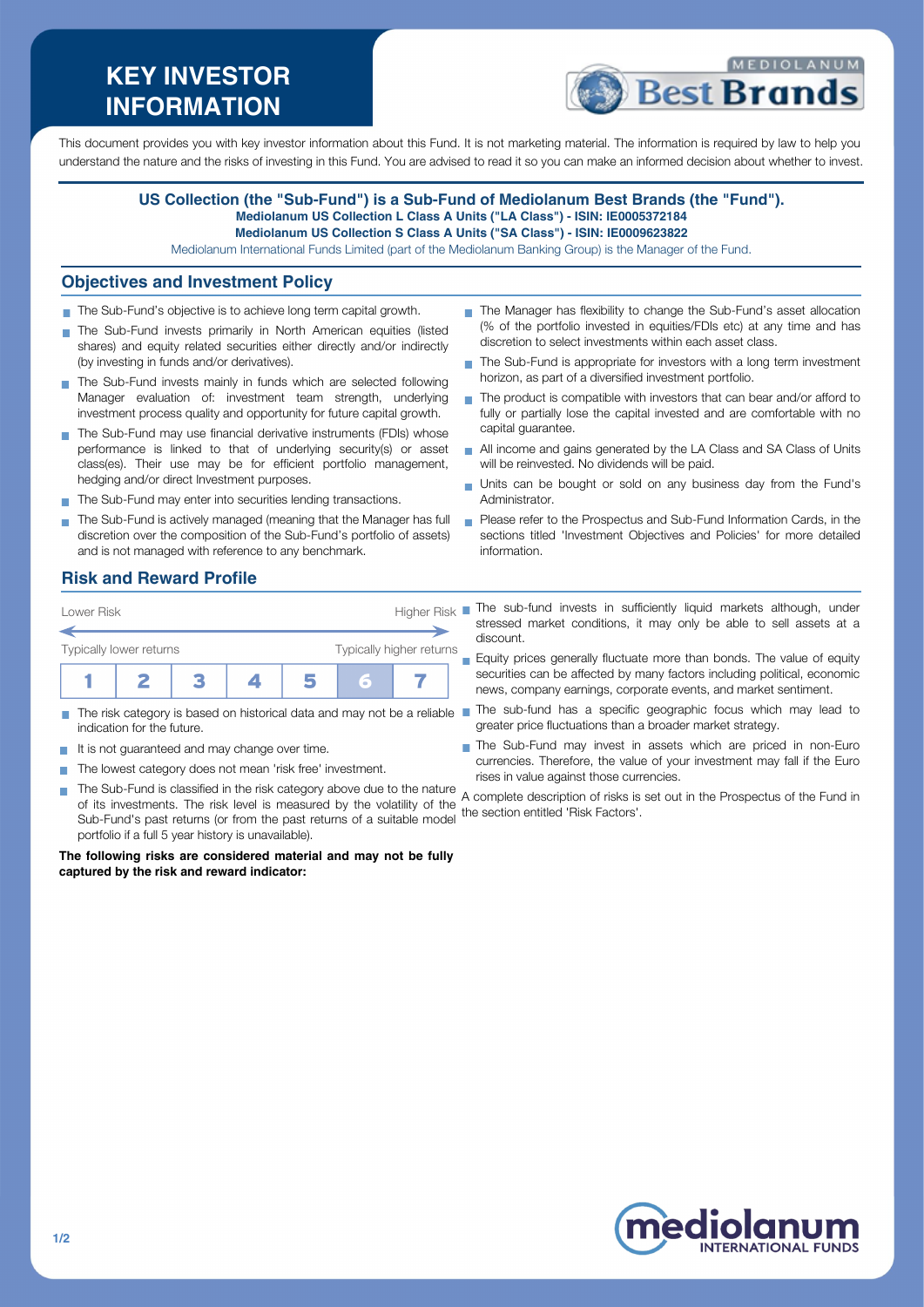# **KEY INVESTOR INFORMATION**



This document provides you with key investor information about this Fund. It is not marketing material. The information is required by law to help you understand the nature and the risks of investing in this Fund. You are advised to read it so you can make an informed decision about whether to invest.

### **US Collection (the "Sub-Fund") is a Sub-Fund of Mediolanum Best Brands (the "Fund"). Mediolanum US Collection L Class A Units ("LA Class") - ISIN: IE0005372184**

**Mediolanum US Collection S Class A Units ("SA Class") - ISIN: IE0009623822**

Mediolanum International Funds Limited (part of the Mediolanum Banking Group) is the Manager of the Fund.

#### **Objectives and Investment Policy**

- The Sub-Fund's objective is to achieve long term capital growth.
- The Sub-Fund invests primarily in North American equities (listed shares) and equity related securities either directly and/or indirectly (by investing in funds and/or derivatives).
- The Sub-Fund invests mainly in funds which are selected following Manager evaluation of: investment team strength, underlying investment process quality and opportunity for future capital growth.
- The Sub-Fund may use financial derivative instruments (FDIs) whose performance is linked to that of underlying security(s) or asset class(es). Their use may be for efficient portfolio management, hedging and/or direct Investment purposes.
- The Sub-Fund may enter into securities lending transactions.
- The Sub-Fund is actively managed (meaning that the Manager has full discretion over the composition of the Sub-Fund's portfolio of assets) and is not managed with reference to any benchmark.
- The Manager has flexibility to change the Sub-Fund's asset allocation (% of the portfolio invested in equities/FDIs etc) at any time and has discretion to select investments within each asset class.
- The Sub-Fund is appropriate for investors with a long term investment horizon, as part of a diversified investment portfolio.
- The product is compatible with investors that can bear and/or afford to  $\overline{\phantom{a}}$ fully or partially lose the capital invested and are comfortable with no capital guarantee.
- All income and gains generated by the LA Class and SA Class of Units will be reinvested. No dividends will be paid.
- Units can be bought or sold on any business day from the Fund's Administrator.
- **Please refer to the Prospectus and Sub-Fund Information Cards, in the** sections titled 'Investment Objectives and Policies' for more detailed information.

The sub-fund invests in sufficiently liquid markets although, under stressed market conditions, it may only be able to sell assets at a

Equity prices generally fluctuate more than bonds. The value of equity securities can be affected by many factors including political, economic news, company earnings, corporate events, and market sentiment.

The Sub-Fund may invest in assets which are priced in non-Euro currencies. Therefore, the value of your investment may fall if the Euro

greater price fluctuations than a broader market strategy.

#### **Risk and Reward Profile**

| Lower Risk              |  | Higher Risk |                          |  |  |
|-------------------------|--|-------------|--------------------------|--|--|
| Typically lower returns |  |             | Typically higher returns |  |  |
|                         |  |             |                          |  |  |

- The risk category is based on historical data and may not be a reliable The sub-fund has a specific geographic focus which may lead to indication for the future.
- It is not guaranteed and may change over time.
- The lowest category does not mean 'risk free' investment.
- The Sub-Fund is classified in the risk category above due to the nature a complete description of risks care currencies. of its investments. The risk level is measured by the volatility of the Sub-Fund's past returns (or from the past returns of a suitable model the section entitled 'Risk Factors'.portfolio if a full 5 year history is unavailable). A complete description of risks is set out in the Prospectus of the Fund in

discount.

**The following risks are considered material and may not be fully captured by the risk and reward indicator:**